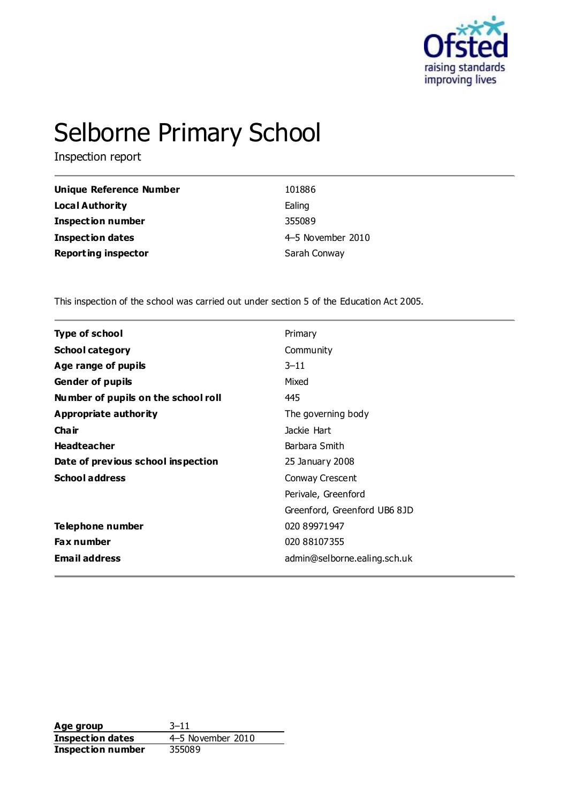

# Selborne Primary School

Inspection report

| Unique Reference Number    | 101886            |
|----------------------------|-------------------|
| Local Authority            | Ealing            |
| <b>Inspection number</b>   | 355089            |
| Inspection dates           | 4-5 November 2010 |
| <b>Reporting inspector</b> | Sarah Conway      |

This inspection of the school was carried out under section 5 of the Education Act 2005.

| <b>Type of school</b><br>Primary<br><b>School category</b><br>Community<br>Age range of pupils<br>$3 - 11$<br><b>Gender of pupils</b><br>Mixed<br>Number of pupils on the school roll<br>445<br><b>Appropriate authority</b><br>The governing body<br>Cha ir<br>Jackie Hart<br><b>Headteacher</b><br>Barbara Smith<br>Date of previous school inspection<br>25 January 2008<br><b>School address</b><br>Conway Crescent<br>Perivale, Greenford<br>Greenford, Greenford UB6 8JD<br>Telephone number<br>020 89971947<br><b>Fax number</b><br>020 88107355<br><b>Email address</b><br>admin@selborne.ealing.sch.uk |  |  |
|-----------------------------------------------------------------------------------------------------------------------------------------------------------------------------------------------------------------------------------------------------------------------------------------------------------------------------------------------------------------------------------------------------------------------------------------------------------------------------------------------------------------------------------------------------------------------------------------------------------------|--|--|
|                                                                                                                                                                                                                                                                                                                                                                                                                                                                                                                                                                                                                 |  |  |
|                                                                                                                                                                                                                                                                                                                                                                                                                                                                                                                                                                                                                 |  |  |
|                                                                                                                                                                                                                                                                                                                                                                                                                                                                                                                                                                                                                 |  |  |
|                                                                                                                                                                                                                                                                                                                                                                                                                                                                                                                                                                                                                 |  |  |
|                                                                                                                                                                                                                                                                                                                                                                                                                                                                                                                                                                                                                 |  |  |
|                                                                                                                                                                                                                                                                                                                                                                                                                                                                                                                                                                                                                 |  |  |
|                                                                                                                                                                                                                                                                                                                                                                                                                                                                                                                                                                                                                 |  |  |
|                                                                                                                                                                                                                                                                                                                                                                                                                                                                                                                                                                                                                 |  |  |
|                                                                                                                                                                                                                                                                                                                                                                                                                                                                                                                                                                                                                 |  |  |
|                                                                                                                                                                                                                                                                                                                                                                                                                                                                                                                                                                                                                 |  |  |
|                                                                                                                                                                                                                                                                                                                                                                                                                                                                                                                                                                                                                 |  |  |
|                                                                                                                                                                                                                                                                                                                                                                                                                                                                                                                                                                                                                 |  |  |
|                                                                                                                                                                                                                                                                                                                                                                                                                                                                                                                                                                                                                 |  |  |
|                                                                                                                                                                                                                                                                                                                                                                                                                                                                                                                                                                                                                 |  |  |
|                                                                                                                                                                                                                                                                                                                                                                                                                                                                                                                                                                                                                 |  |  |

**Age group** 3–11 **Inspection dates** 4–5 November 2010<br> **Inspection number** 355089 **Inspection number**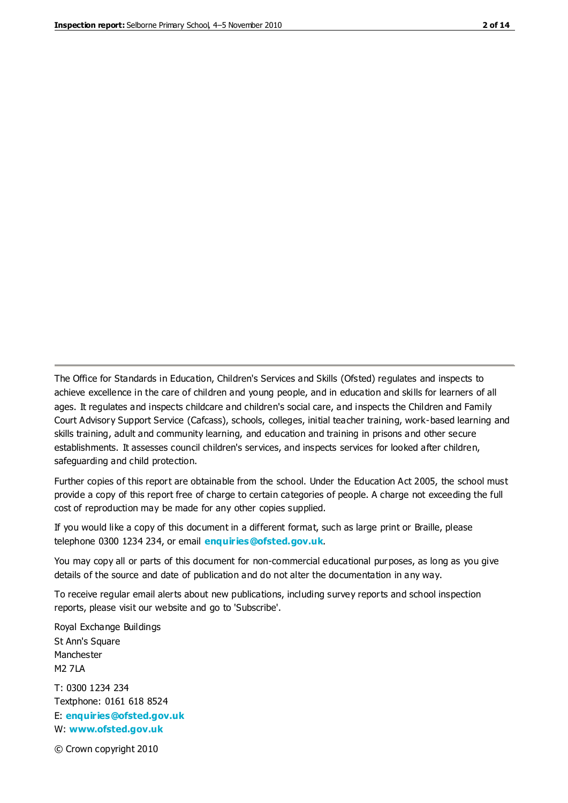The Office for Standards in Education, Children's Services and Skills (Ofsted) regulates and inspects to achieve excellence in the care of children and young people, and in education and skills for learners of all ages. It regulates and inspects childcare and children's social care, and inspects the Children and Family Court Advisory Support Service (Cafcass), schools, colleges, initial teacher training, work-based learning and skills training, adult and community learning, and education and training in prisons and other secure establishments. It assesses council children's services, and inspects services for looked after children, safeguarding and child protection.

Further copies of this report are obtainable from the school. Under the Education Act 2005, the school must provide a copy of this report free of charge to certain categories of people. A charge not exceeding the full cost of reproduction may be made for any other copies supplied.

If you would like a copy of this document in a different format, such as large print or Braille, please telephone 0300 1234 234, or email **[enquiries@ofsted.gov.uk](mailto:enquiries@ofsted.gov.uk)**.

You may copy all or parts of this document for non-commercial educational purposes, as long as you give details of the source and date of publication and do not alter the documentation in any way.

To receive regular email alerts about new publications, including survey reports and school inspection reports, please visit our website and go to 'Subscribe'.

Royal Exchange Buildings St Ann's Square Manchester M2 7LA T: 0300 1234 234 Textphone: 0161 618 8524 E: **[enquiries@ofsted.gov.uk](mailto:enquiries@ofsted.gov.uk)**

W: **[www.ofsted.gov.uk](http://www.ofsted.gov.uk/)**

© Crown copyright 2010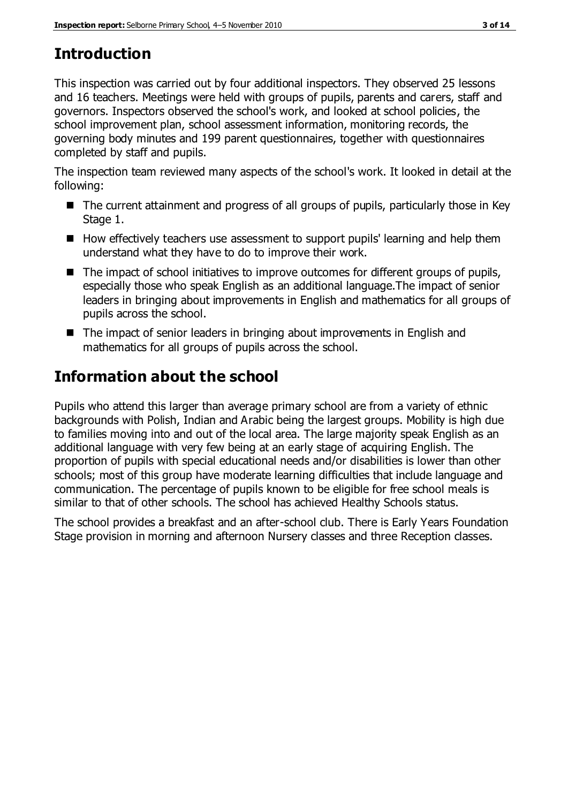# **Introduction**

This inspection was carried out by four additional inspectors. They observed 25 lessons and 16 teachers. Meetings were held with groups of pupils, parents and carers, staff and governors. Inspectors observed the school's work, and looked at school policies, the school improvement plan, school assessment information, monitoring records, the governing body minutes and 199 parent questionnaires, together with questionnaires completed by staff and pupils.

The inspection team reviewed many aspects of the school's work. It looked in detail at the following:

- The current attainment and progress of all groups of pupils, particularly those in Key Stage 1.
- How effectively teachers use assessment to support pupils' learning and help them understand what they have to do to improve their work.
- The impact of school initiatives to improve outcomes for different groups of pupils, especially those who speak English as an additional language.The impact of senior leaders in bringing about improvements in English and mathematics for all groups of pupils across the school.
- The impact of senior leaders in bringing about improvements in English and mathematics for all groups of pupils across the school.

## **Information about the school**

Pupils who attend this larger than average primary school are from a variety of ethnic backgrounds with Polish, Indian and Arabic being the largest groups. Mobility is high due to families moving into and out of the local area. The large majority speak English as an additional language with very few being at an early stage of acquiring English. The proportion of pupils with special educational needs and/or disabilities is lower than other schools; most of this group have moderate learning difficulties that include language and communication. The percentage of pupils known to be eligible for free school meals is similar to that of other schools. The school has achieved Healthy Schools status.

The school provides a breakfast and an after-school club. There is Early Years Foundation Stage provision in morning and afternoon Nursery classes and three Reception classes.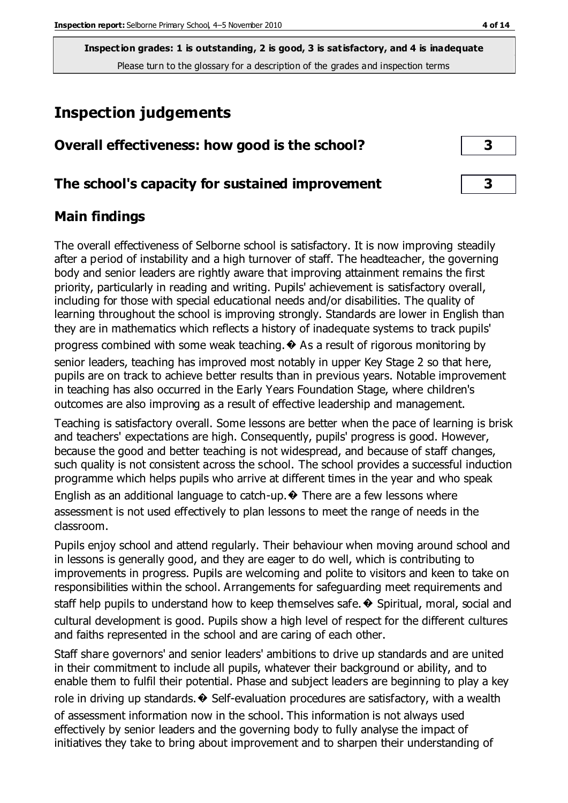**Inspection grades: 1 is outstanding, 2 is good, 3 is satisfactory, and 4 is inadequate** Please turn to the glossary for a description of the grades and inspection terms

## **Inspection judgements**

| Overall effectiveness: how good is the school?  |  |
|-------------------------------------------------|--|
| The school's capacity for sustained improvement |  |

#### **Main findings**

The overall effectiveness of Selborne school is satisfactory. It is now improving steadily after a period of instability and a high turnover of staff. The headteacher, the governing body and senior leaders are rightly aware that improving attainment remains the first priority, particularly in reading and writing. Pupils' achievement is satisfactory overall, including for those with special educational needs and/or disabilities. The quality of learning throughout the school is improving strongly. Standards are lower in English than they are in mathematics which reflects a history of inadequate systems to track pupils' progress combined with some weak teaching. $\bullet$  As a result of rigorous monitoring by senior leaders, teaching has improved most notably in upper Key Stage 2 so that here, pupils are on track to achieve better results than in previous years. Notable improvement in teaching has also occurred in the Early Years Foundation Stage, where children's outcomes are also improving as a result of effective leadership and management.

Teaching is satisfactory overall. Some lessons are better when the pace of learning is brisk and teachers' expectations are high. Consequently, pupils' progress is good. However, because the good and better teaching is not widespread, and because of staff changes, such quality is not consistent across the school. The school provides a successful induction programme which helps pupils who arrive at different times in the year and who speak English as an additional language to catch-up.  $\odot$  There are a few lessons where

assessment is not used effectively to plan lessons to meet the range of needs in the classroom.

Pupils enjoy school and attend regularly. Their behaviour when moving around school and in lessons is generally good, and they are eager to do well, which is contributing to improvements in progress. Pupils are welcoming and polite to visitors and keen to take on responsibilities within the school. Arrangements for safeguarding meet requirements and staff help pupils to understand how to keep themselves safe.  $\odot$  Spiritual, moral, social and cultural development is good. Pupils show a high level of respect for the different cultures and faiths represented in the school and are caring of each other.

Staff share governors' and senior leaders' ambitions to drive up standards and are united in their commitment to include all pupils, whatever their background or ability, and to enable them to fulfil their potential. Phase and subject leaders are beginning to play a key role in driving up standards. $\diamondsuit$  Self-evaluation procedures are satisfactory, with a wealth

of assessment information now in the school. This information is not always used effectively by senior leaders and the governing body to fully analyse the impact of initiatives they take to bring about improvement and to sharpen their understanding of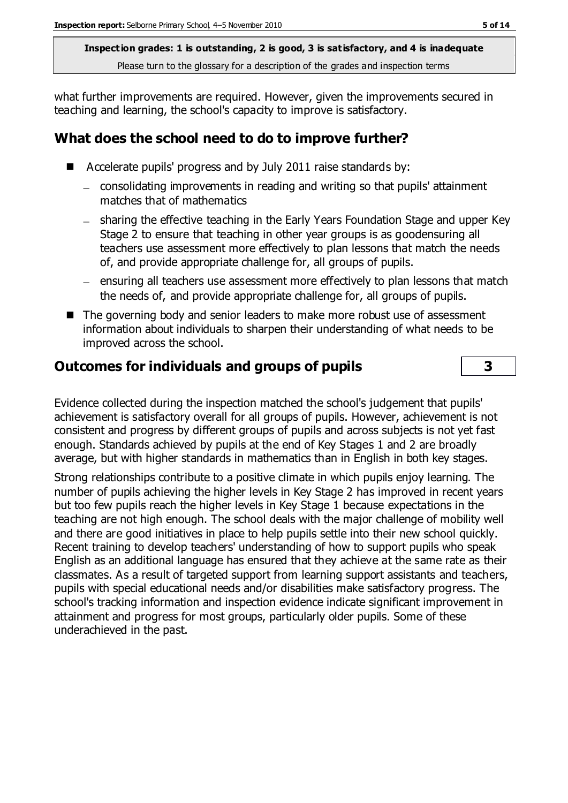**Inspection grades: 1 is outstanding, 2 is good, 3 is satisfactory, and 4 is inadequate** Please turn to the glossary for a description of the grades and inspection terms

what further improvements are required. However, given the improvements secured in teaching and learning, the school's capacity to improve is satisfactory.

#### **What does the school need to do to improve further?**

- Accelerate pupils' progress and by July 2011 raise standards by:
	- consolidating improvements in reading and writing so that pupils' attainment matches that of mathematics
	- sharing the effective teaching in the Early Years Foundation Stage and upper Key Stage 2 to ensure that teaching in other year groups is as goodensuring all teachers use assessment more effectively to plan lessons that match the needs of, and provide appropriate challenge for, all groups of pupils.
	- ensuring all teachers use assessment more effectively to plan lessons that match the needs of, and provide appropriate challenge for, all groups of pupils.
- The governing body and senior leaders to make more robust use of assessment information about individuals to sharpen their understanding of what needs to be improved across the school.

#### **Outcomes for individuals and groups of pupils 3**

Evidence collected during the inspection matched the school's judgement that pupils' achievement is satisfactory overall for all groups of pupils. However, achievement is not consistent and progress by different groups of pupils and across subjects is not yet fast enough. Standards achieved by pupils at the end of Key Stages 1 and 2 are broadly average, but with higher standards in mathematics than in English in both key stages.

Strong relationships contribute to a positive climate in which pupils enjoy learning. The number of pupils achieving the higher levels in Key Stage 2 has improved in recent years but too few pupils reach the higher levels in Key Stage 1 because expectations in the teaching are not high enough. The school deals with the major challenge of mobility well and there are good initiatives in place to help pupils settle into their new school quickly. Recent training to develop teachers' understanding of how to support pupils who speak English as an additional language has ensured that they achieve at the same rate as their classmates. As a result of targeted support from learning support assistants and teachers, pupils with special educational needs and/or disabilities make satisfactory progress. The school's tracking information and inspection evidence indicate significant improvement in attainment and progress for most groups, particularly older pupils. Some of these underachieved in the past.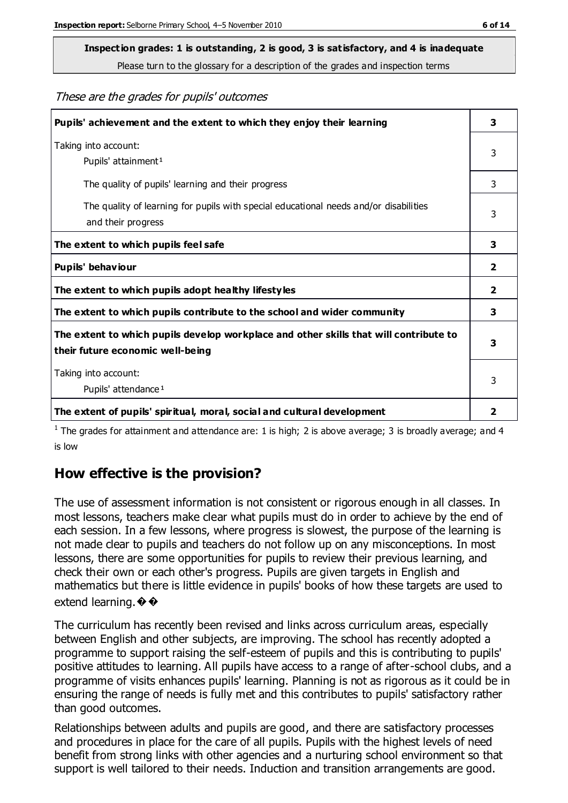# **Inspection grades: 1 is outstanding, 2 is good, 3 is satisfactory, and 4 is inadequate**

Please turn to the glossary for a description of the grades and inspection terms

These are the grades for pupils' outcomes

| Pupils' achievement and the extent to which they enjoy their learning                                                     | 3 |
|---------------------------------------------------------------------------------------------------------------------------|---|
| Taking into account:<br>Pupils' attainment <sup>1</sup>                                                                   | 3 |
| The quality of pupils' learning and their progress                                                                        | 3 |
| The quality of learning for pupils with special educational needs and/or disabilities<br>and their progress               | 3 |
| The extent to which pupils feel safe                                                                                      | 3 |
| Pupils' behaviour                                                                                                         | 2 |
| The extent to which pupils adopt healthy lifestyles                                                                       | 2 |
| The extent to which pupils contribute to the school and wider community                                                   | 3 |
| The extent to which pupils develop workplace and other skills that will contribute to<br>their future economic well-being | 3 |
| Taking into account:<br>Pupils' attendance <sup>1</sup>                                                                   | 3 |
| The extent of pupils' spiritual, moral, social and cultural development                                                   | 2 |

<sup>1</sup> The grades for attainment and attendance are: 1 is high; 2 is above average; 3 is broadly average; and 4 is low

#### **How effective is the provision?**

The use of assessment information is not consistent or rigorous enough in all classes. In most lessons, teachers make clear what pupils must do in order to achieve by the end of each session. In a few lessons, where progress is slowest, the purpose of the learning is not made clear to pupils and teachers do not follow up on any misconceptions. In most lessons, there are some opportunities for pupils to review their previous learning, and check their own or each other's progress. Pupils are given targets in English and mathematics but there is little evidence in pupils' books of how these targets are used to extend learning.  $\bullet \bullet$ 

The curriculum has recently been revised and links across curriculum areas, especially between English and other subjects, are improving. The school has recently adopted a programme to support raising the self-esteem of pupils and this is contributing to pupils' positive attitudes to learning. All pupils have access to a range of after-school clubs, and a programme of visits enhances pupils' learning. Planning is not as rigorous as it could be in ensuring the range of needs is fully met and this contributes to pupils' satisfactory rather than good outcomes.

Relationships between adults and pupils are good, and there are satisfactory processes and procedures in place for the care of all pupils. Pupils with the highest levels of need benefit from strong links with other agencies and a nurturing school environment so that support is well tailored to their needs. Induction and transition arrangements are good.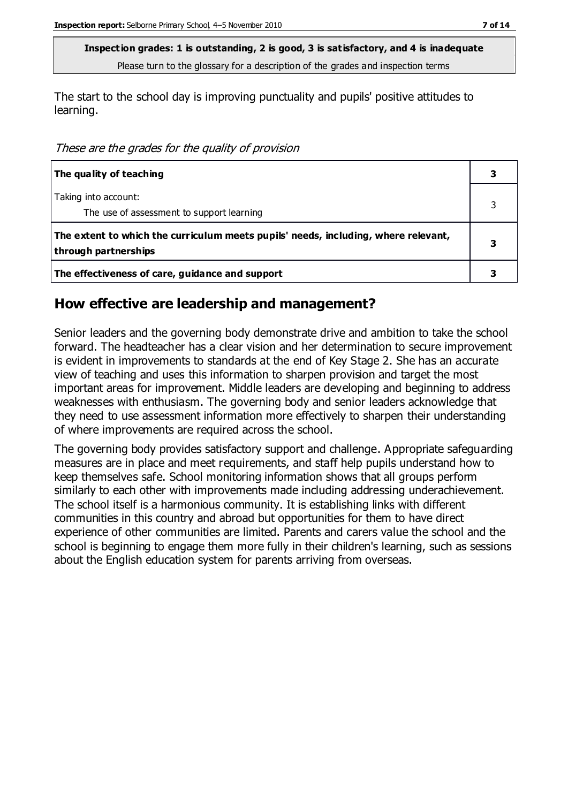**Inspection grades: 1 is outstanding, 2 is good, 3 is satisfactory, and 4 is inadequate** Please turn to the glossary for a description of the grades and inspection terms

The start to the school day is improving punctuality and pupils' positive attitudes to learning.

These are the grades for the quality of provision

| The quality of teaching                                                                                    |  |
|------------------------------------------------------------------------------------------------------------|--|
| Taking into account:<br>The use of assessment to support learning                                          |  |
| The extent to which the curriculum meets pupils' needs, including, where relevant,<br>through partnerships |  |
| The effectiveness of care, guidance and support                                                            |  |

#### **How effective are leadership and management?**

Senior leaders and the governing body demonstrate drive and ambition to take the school forward. The headteacher has a clear vision and her determination to secure improvement is evident in improvements to standards at the end of Key Stage 2. She has an accurate view of teaching and uses this information to sharpen provision and target the most important areas for improvement. Middle leaders are developing and beginning to address weaknesses with enthusiasm. The governing body and senior leaders acknowledge that they need to use assessment information more effectively to sharpen their understanding of where improvements are required across the school.

The governing body provides satisfactory support and challenge. Appropriate safeguarding measures are in place and meet requirements, and staff help pupils understand how to keep themselves safe. School monitoring information shows that all groups perform similarly to each other with improvements made including addressing underachievement. The school itself is a harmonious community. It is establishing links with different communities in this country and abroad but opportunities for them to have direct experience of other communities are limited. Parents and carers value the school and the school is beginning to engage them more fully in their children's learning, such as sessions about the English education system for parents arriving from overseas.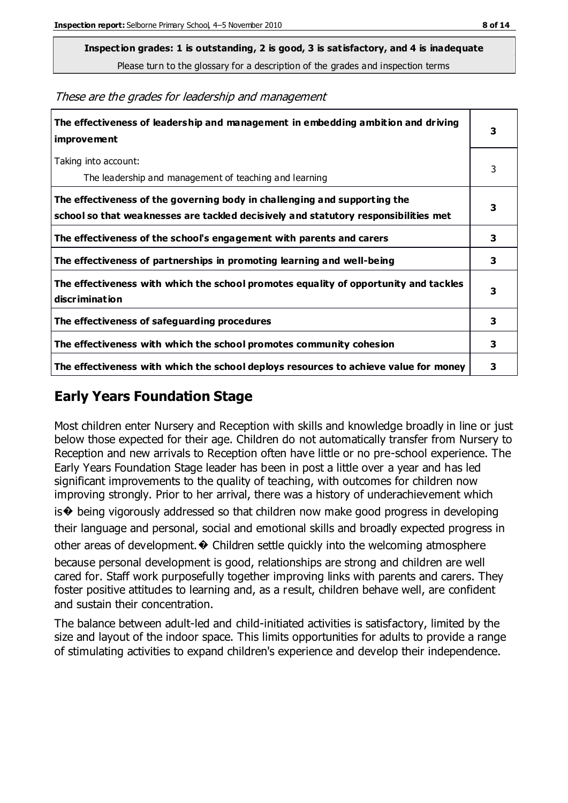**Inspection grades: 1 is outstanding, 2 is good, 3 is satisfactory, and 4 is inadequate**

Please turn to the glossary for a description of the grades and inspection terms

These are the grades for leadership and management

| The effectiveness of leadership and management in embedding ambition and driving<br>improvement                                                                  | 3 |
|------------------------------------------------------------------------------------------------------------------------------------------------------------------|---|
| Taking into account:<br>The leadership and management of teaching and learning                                                                                   | 3 |
| The effectiveness of the governing body in challenging and supporting the<br>school so that weaknesses are tackled decisively and statutory responsibilities met | 3 |
| The effectiveness of the school's engagement with parents and carers                                                                                             | 3 |
| The effectiveness of partnerships in promoting learning and well-being                                                                                           | 3 |
| The effectiveness with which the school promotes equality of opportunity and tackles<br>discrimination                                                           | 3 |
| The effectiveness of safeguarding procedures                                                                                                                     | 3 |
| The effectiveness with which the school promotes community cohesion                                                                                              | 3 |
| The effectiveness with which the school deploys resources to achieve value for money                                                                             | 3 |

#### **Early Years Foundation Stage**

Most children enter Nursery and Reception with skills and knowledge broadly in line or just below those expected for their age. Children do not automatically transfer from Nursery to Reception and new arrivals to Reception often have little or no pre-school experience. The Early Years Foundation Stage leader has been in post a little over a year and has led significant improvements to the quality of teaching, with outcomes for children now improving strongly. Prior to her arrival, there was a history of underachievement which is� being vigorously addressed so that children now make good progress in developing their language and personal, social and emotional skills and broadly expected progress in other areas of development.  $\odot$  Children settle quickly into the welcoming atmosphere because personal development is good, relationships are strong and children are well cared for. Staff work purposefully together improving links with parents and carers. They foster positive attitudes to learning and, as a result, children behave well, are confident and sustain their concentration.

The balance between adult-led and child-initiated activities is satisfactory, limited by the size and layout of the indoor space. This limits opportunities for adults to provide a range of stimulating activities to expand children's experience and develop their independence.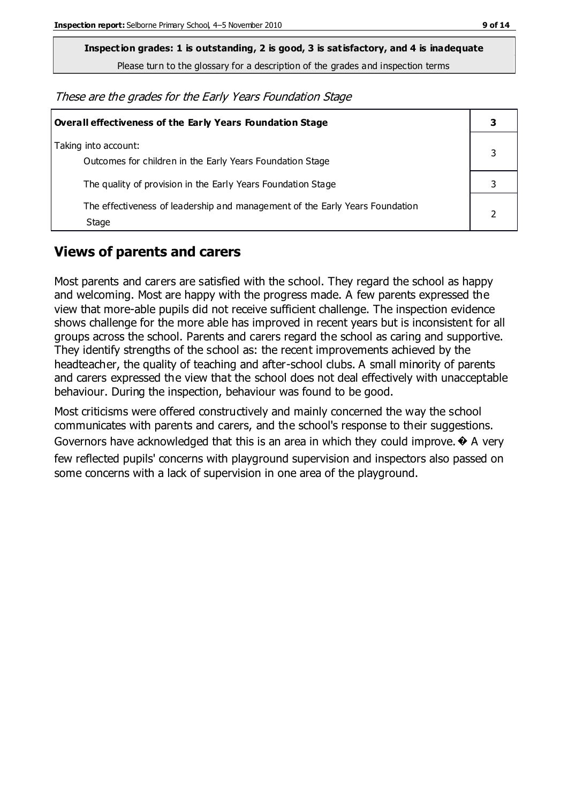**Inspection grades: 1 is outstanding, 2 is good, 3 is satisfactory, and 4 is inadequate**

Please turn to the glossary for a description of the grades and inspection terms

These are the grades for the Early Years Foundation Stage

| Overall effectiveness of the Early Years Foundation Stage                             | 3 |
|---------------------------------------------------------------------------------------|---|
| Taking into account:<br>Outcomes for children in the Early Years Foundation Stage     |   |
| The quality of provision in the Early Years Foundation Stage                          |   |
| The effectiveness of leadership and management of the Early Years Foundation<br>Stage |   |

#### **Views of parents and carers**

Most parents and carers are satisfied with the school. They regard the school as happy and welcoming. Most are happy with the progress made. A few parents expressed the view that more-able pupils did not receive sufficient challenge. The inspection evidence shows challenge for the more able has improved in recent years but is inconsistent for all groups across the school. Parents and carers regard the school as caring and supportive. They identify strengths of the school as: the recent improvements achieved by the headteacher, the quality of teaching and after-school clubs. A small minority of parents and carers expressed the view that the school does not deal effectively with unacceptable behaviour. During the inspection, behaviour was found to be good.

Most criticisms were offered constructively and mainly concerned the way the school communicates with parents and carers, and the school's response to their suggestions. Governors have acknowledged that this is an area in which they could improve.  $\bullet$  A very few reflected pupils' concerns with playground supervision and inspectors also passed on some concerns with a lack of supervision in one area of the playground.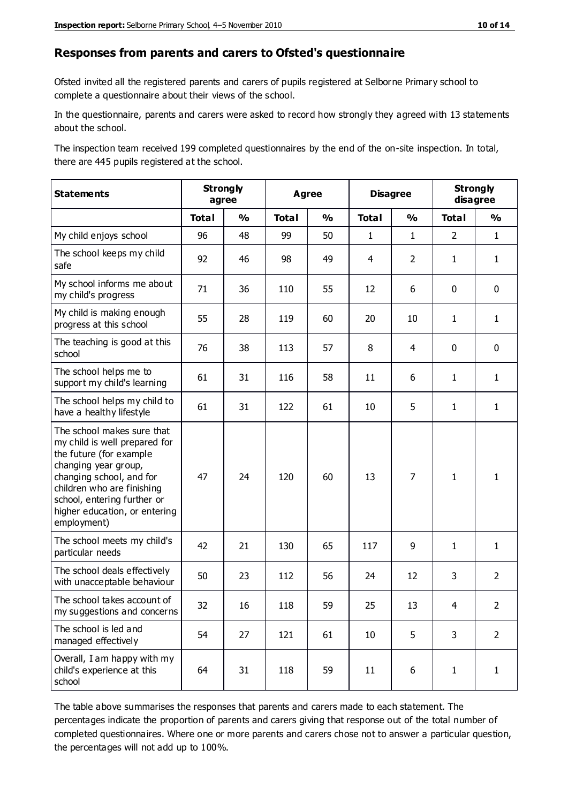#### **Responses from parents and carers to Ofsted's questionnaire**

Ofsted invited all the registered parents and carers of pupils registered at Selborne Primary school to complete a questionnaire about their views of the school.

In the questionnaire, parents and carers were asked to record how strongly they agreed with 13 statements about the school.

The inspection team received 199 completed questionnaires by the end of the on-site inspection. In total, there are 445 pupils registered at the school.

| <b>Statements</b>                                                                                                                                                                                                                                       | <b>Strongly</b><br>agree |               | <b>Agree</b> |               |              | <b>Disagree</b> |                | <b>Strongly</b><br>disagree |  |
|---------------------------------------------------------------------------------------------------------------------------------------------------------------------------------------------------------------------------------------------------------|--------------------------|---------------|--------------|---------------|--------------|-----------------|----------------|-----------------------------|--|
|                                                                                                                                                                                                                                                         | <b>Total</b>             | $\frac{1}{2}$ | <b>Total</b> | $\frac{1}{2}$ | <b>Total</b> | $\frac{1}{2}$   | <b>Total</b>   | $\frac{1}{2}$               |  |
| My child enjoys school                                                                                                                                                                                                                                  | 96                       | 48            | 99           | 50            | $\mathbf{1}$ | $\mathbf{1}$    | $\overline{2}$ | $\mathbf{1}$                |  |
| The school keeps my child<br>safe                                                                                                                                                                                                                       | 92                       | 46            | 98           | 49            | 4            | $\overline{2}$  | $\mathbf{1}$   | $\mathbf{1}$                |  |
| My school informs me about<br>my child's progress                                                                                                                                                                                                       | 71                       | 36            | 110          | 55            | 12           | 6               | $\mathbf 0$    | $\mathbf 0$                 |  |
| My child is making enough<br>progress at this school                                                                                                                                                                                                    | 55                       | 28            | 119          | 60            | 20           | 10              | $\mathbf{1}$   | $\mathbf{1}$                |  |
| The teaching is good at this<br>school                                                                                                                                                                                                                  | 76                       | 38            | 113          | 57            | 8            | 4               | $\mathbf 0$    | $\mathbf 0$                 |  |
| The school helps me to<br>support my child's learning                                                                                                                                                                                                   | 61                       | 31            | 116          | 58            | 11           | 6               | 1              | $\mathbf{1}$                |  |
| The school helps my child to<br>have a healthy lifestyle                                                                                                                                                                                                | 61                       | 31            | 122          | 61            | 10           | 5               | $\mathbf{1}$   | $\mathbf{1}$                |  |
| The school makes sure that<br>my child is well prepared for<br>the future (for example<br>changing year group,<br>changing school, and for<br>children who are finishing<br>school, entering further or<br>higher education, or entering<br>employment) | 47                       | 24            | 120          | 60            | 13           | 7               | $\mathbf{1}$   | 1                           |  |
| The school meets my child's<br>particular needs                                                                                                                                                                                                         | 42                       | 21            | 130          | 65            | 117          | 9               | $\mathbf{1}$   | $\mathbf{1}$                |  |
| The school deals effectively<br>with unacceptable behaviour                                                                                                                                                                                             | 50                       | 23            | 112          | 56            | 24           | 12              | 3              | $\overline{2}$              |  |
| The school takes account of<br>my suggestions and concerns                                                                                                                                                                                              | 32                       | 16            | 118          | 59            | 25           | 13              | $\overline{4}$ | $\mathcal{L}$               |  |
| The school is led and<br>managed effectively                                                                                                                                                                                                            | 54                       | 27            | 121          | 61            | 10           | 5               | 3              | $\overline{2}$              |  |
| Overall, I am happy with my<br>child's experience at this<br>school                                                                                                                                                                                     | 64                       | 31            | 118          | 59            | 11           | 6               | $\mathbf{1}$   | $\mathbf{1}$                |  |

The table above summarises the responses that parents and carers made to each statement. The percentages indicate the proportion of parents and carers giving that response out of the total number of completed questionnaires. Where one or more parents and carers chose not to answer a particular question, the percentages will not add up to 100%.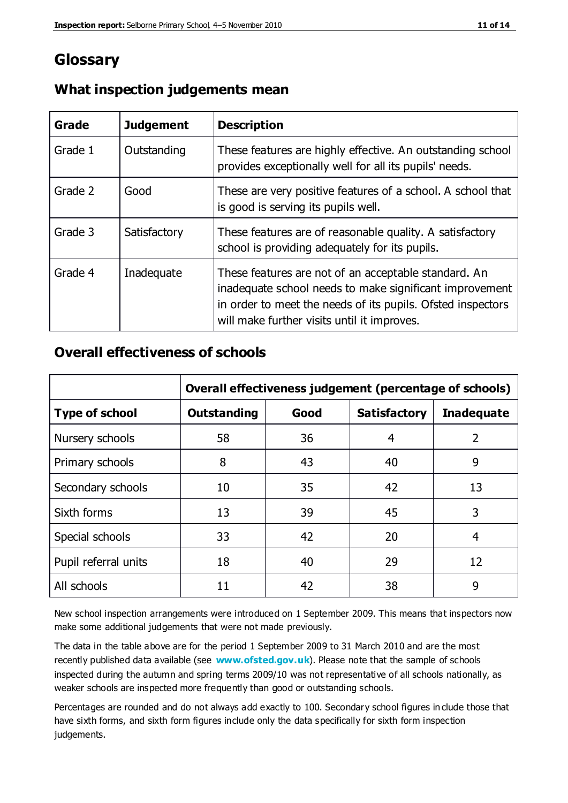### **Glossary**

| Grade   | <b>Judgement</b> | <b>Description</b>                                                                                                                                                                                                            |
|---------|------------------|-------------------------------------------------------------------------------------------------------------------------------------------------------------------------------------------------------------------------------|
| Grade 1 | Outstanding      | These features are highly effective. An outstanding school<br>provides exceptionally well for all its pupils' needs.                                                                                                          |
| Grade 2 | Good             | These are very positive features of a school. A school that<br>is good is serving its pupils well.                                                                                                                            |
| Grade 3 | Satisfactory     | These features are of reasonable quality. A satisfactory<br>school is providing adequately for its pupils.                                                                                                                    |
| Grade 4 | Inadequate       | These features are not of an acceptable standard. An<br>inadequate school needs to make significant improvement<br>in order to meet the needs of its pupils. Ofsted inspectors<br>will make further visits until it improves. |

#### **What inspection judgements mean**

#### **Overall effectiveness of schools**

|                       | Overall effectiveness judgement (percentage of schools) |      |                     |                   |
|-----------------------|---------------------------------------------------------|------|---------------------|-------------------|
| <b>Type of school</b> | <b>Outstanding</b>                                      | Good | <b>Satisfactory</b> | <b>Inadequate</b> |
| Nursery schools       | 58                                                      | 36   | 4                   | $\overline{2}$    |
| Primary schools       | 8                                                       | 43   | 40                  | 9                 |
| Secondary schools     | 10                                                      | 35   | 42                  | 13                |
| Sixth forms           | 13                                                      | 39   | 45                  | 3                 |
| Special schools       | 33                                                      | 42   | 20                  | 4                 |
| Pupil referral units  | 18                                                      | 40   | 29                  | 12                |
| All schools           | 11                                                      | 42   | 38                  | 9                 |

New school inspection arrangements were introduced on 1 September 2009. This means that inspectors now make some additional judgements that were not made previously.

The data in the table above are for the period 1 September 2009 to 31 March 2010 and are the most recently published data available (see **[www.ofsted.gov.uk](http://www.ofsted.gov.uk/)**). Please note that the sample of schools inspected during the autumn and spring terms 2009/10 was not representative of all schools nationally, as weaker schools are inspected more frequently than good or outstanding schools.

Percentages are rounded and do not always add exactly to 100. Secondary school figures in clude those that have sixth forms, and sixth form figures include only the data specifically for sixth form inspection judgements.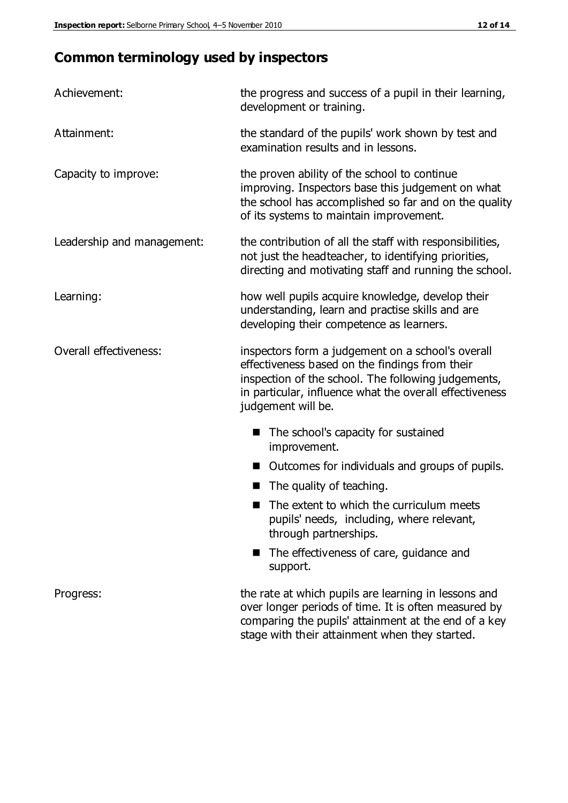## **Common terminology used by inspectors**

| Achievement:               | the progress and success of a pupil in their learning,<br>development or training.                                                                                                                                                          |
|----------------------------|---------------------------------------------------------------------------------------------------------------------------------------------------------------------------------------------------------------------------------------------|
| Attainment:                | the standard of the pupils' work shown by test and<br>examination results and in lessons.                                                                                                                                                   |
| Capacity to improve:       | the proven ability of the school to continue<br>improving. Inspectors base this judgement on what<br>the school has accomplished so far and on the quality<br>of its systems to maintain improvement.                                       |
| Leadership and management: | the contribution of all the staff with responsibilities,<br>not just the headteacher, to identifying priorities,<br>directing and motivating staff and running the school.                                                                  |
| Learning:                  | how well pupils acquire knowledge, develop their<br>understanding, learn and practise skills and are<br>developing their competence as learners.                                                                                            |
| Overall effectiveness:     | inspectors form a judgement on a school's overall<br>effectiveness based on the findings from their<br>inspection of the school. The following judgements,<br>in particular, influence what the overall effectiveness<br>judgement will be. |
|                            | The school's capacity for sustained<br>improvement.                                                                                                                                                                                         |
|                            | Outcomes for individuals and groups of pupils.                                                                                                                                                                                              |
|                            | The quality of teaching.                                                                                                                                                                                                                    |
|                            | The extent to which the curriculum meets<br>pupils' needs, including, where relevant,<br>through partnerships.                                                                                                                              |
|                            | The effectiveness of care, guidance and<br>support.                                                                                                                                                                                         |
| Progress:                  | the rate at which pupils are learning in lessons and<br>over longer periods of time. It is often measured by<br>comparing the pupils' attainment at the end of a key                                                                        |

stage with their attainment when they started.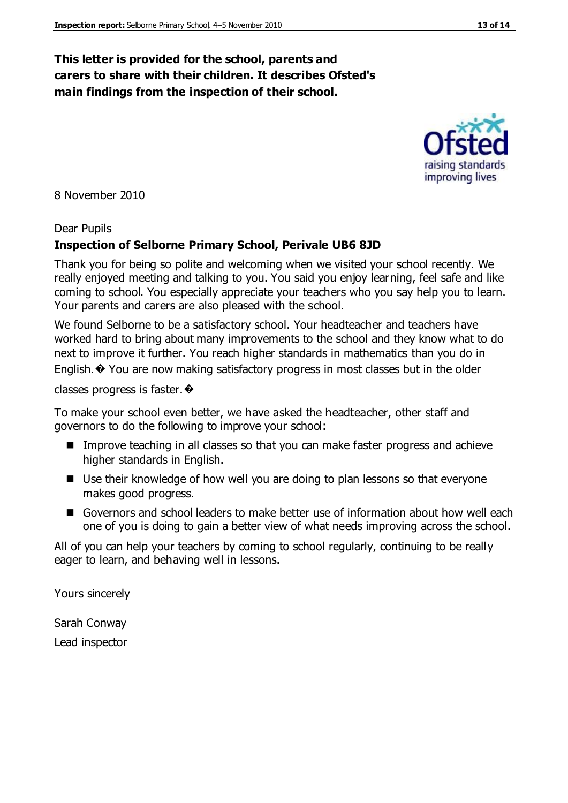#### **This letter is provided for the school, parents and carers to share with their children. It describes Ofsted's main findings from the inspection of their school.**

8 November 2010

#### Dear Pupils

#### **Inspection of Selborne Primary School, Perivale UB6 8JD**

Thank you for being so polite and welcoming when we visited your school recently. We really enjoyed meeting and talking to you. You said you enjoy learning, feel safe and like coming to school. You especially appreciate your teachers who you say help you to learn. Your parents and carers are also pleased with the school.

We found Selborne to be a satisfactory school. Your headteacher and teachers have worked hard to bring about many improvements to the school and they know what to do next to improve it further. You reach higher standards in mathematics than you do in English. $\odot$  You are now making satisfactory progress in most classes but in the older

classes progress is faster.�

To make your school even better, we have asked the headteacher, other staff and governors to do the following to improve your school:

- Improve teaching in all classes so that you can make faster progress and achieve higher standards in English.
- Use their knowledge of how well you are doing to plan lessons so that everyone makes good progress.
- Governors and school leaders to make better use of information about how well each one of you is doing to gain a better view of what needs improving across the school.

All of you can help your teachers by coming to school regularly, continuing to be really eager to learn, and behaving well in lessons.

Yours sincerely

Sarah Conway Lead inspector